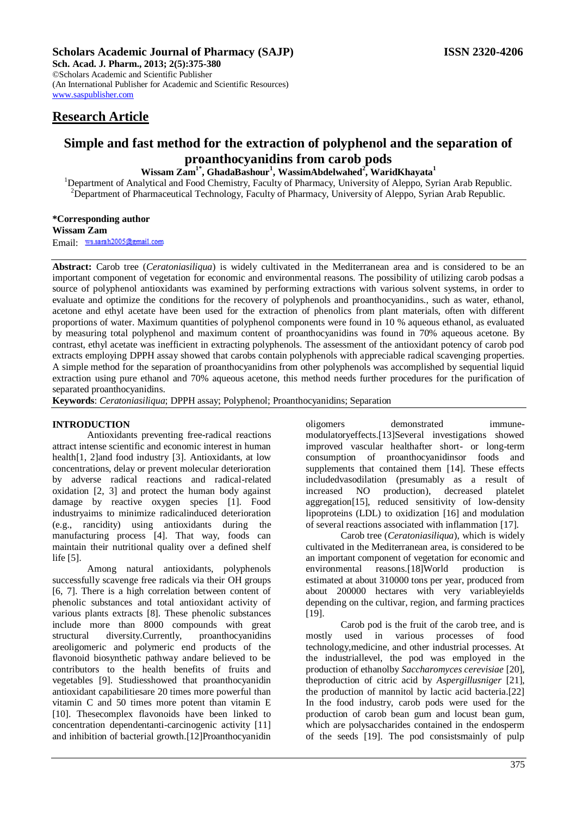## **Scholars Academic Journal of Pharmacy (SAJP) ISSN 2320-4206**

**Sch. Acad. J. Pharm., 2013; 2(5):375-380** ©Scholars Academic and Scientific Publisher (An International Publisher for Academic and Scientific Resources) [www.saspublisher.com](http://www.saspublisher.com/) 

## **Research Article**

# **Simple and fast method for the extraction of polyphenol and the separation of proanthocyanidins from carob pods**

**Wissam Zam1\*, GhadaBashour<sup>1</sup> , WassimAbdelwahed<sup>2</sup> , WaridKhayata<sup>1</sup>**

<sup>1</sup>Department of Analytical and Food Chemistry, Faculty of Pharmacy, University of Aleppo, Syrian Arab Republic. <sup>2</sup>Department of Pharmaceutical Technology, Faculty of Pharmacy, University of Aleppo, Syrian Arab Republic.

**\*Corresponding author Wissam Zam** Email: ws.sarah2005@gmail.com

**Abstract:** Carob tree (*Ceratoniasiliqua*) is widely cultivated in the Mediterranean area and is considered to be an important component of vegetation for economic and environmental reasons. The possibility of utilizing carob podsas a source of polyphenol antioxidants was examined by performing extractions with various solvent systems, in order to evaluate and optimize the conditions for the recovery of polyphenols and proanthocyanidins., such as water, ethanol, acetone and ethyl acetate have been used for the extraction of phenolics from plant materials, often with different proportions of water. Maximum quantities of polyphenol components were found in 10 % aqueous ethanol, as evaluated by measuring total polyphenol and maximum content of proanthocyanidins was found in 70% aqueous acetone. By contrast, ethyl acetate was inefficient in extracting polyphenols. The assessment of the antioxidant potency of carob pod extracts employing DPPH assay showed that carobs contain polyphenols with appreciable radical scavenging properties. A simple method for the separation of proanthocyanidins from other polyphenols was accomplished by sequential liquid extraction using pure ethanol and 70% aqueous acetone, this method needs further procedures for the purification of separated proanthocyanidins.

**Keywords**: *Ceratoniasiliqua*; DPPH assay; Polyphenol; Proanthocyanidins; Separation

## **INTRODUCTION**

Antioxidants preventing free-radical reactions attract intense scientific and economic interest in human health[1, 2]and food industry [3]. Antioxidants, at low concentrations, delay or prevent molecular deterioration by adverse radical reactions and radical-related oxidation [2, 3] and protect the human body against damage by reactive oxygen species [1]. Food industryaims to minimize radicalinduced deterioration (e.g., rancidity) using antioxidants during the manufacturing process [4]. That way, foods can maintain their nutritional quality over a defined shelf life [5].

Among natural antioxidants, polyphenols successfully scavenge free radicals via their OH groups [6, 7]. There is a high correlation between content of phenolic substances and total antioxidant activity of various plants extracts [8]. These phenolic substances include more than 8000 compounds with great structural diversity.Currently, proanthocyanidins areoligomeric and polymeric end products of the flavonoid biosynthetic pathway andare believed to be contributors to the health benefits of fruits and vegetables [9]. Studiesshowed that proanthocyanidin antioxidant capabilitiesare 20 times more powerful than vitamin C and 50 times more potent than vitamin E [10]. Thesecomplex flavonoids have been linked to concentration dependentanti-carcinogenic activity [11] and inhibition of bacterial growth.[12]Proanthocyanidin

oligomers demonstrated immunemodulatoryeffects.[13]Several investigations showed improved vascular healthafter short- or long-term consumption of proanthocyanidinsor foods and supplements that contained them [14]. These effects includedvasodilation (presumably as a result of increased NO production), decreased platelet aggregation[15], reduced sensitivity of low-density lipoproteins (LDL) to oxidization [16] and modulation of several reactions associated with inflammation [17].

Carob tree (*Ceratoniasiliqua*), which is widely cultivated in the Mediterranean area, is considered to be an important component of vegetation for economic and environmental reasons.[18]World production is estimated at about 310000 tons per year, produced from about 200000 hectares with very variableyields depending on the cultivar, region, and farming practices [19].

Carob pod is the fruit of the carob tree, and is mostly used in various processes of food technology,medicine, and other industrial processes. At the industriallevel, the pod was employed in the production of ethanolby *Saccharomyces cerevisiae* [20], theproduction of citric acid by *Aspergillusniger* [21], the production of mannitol by lactic acid bacteria.[22] In the food industry, carob pods were used for the production of carob bean gum and locust bean gum, which are polysaccharides contained in the endosperm of the seeds [19]. The pod consistsmainly of pulp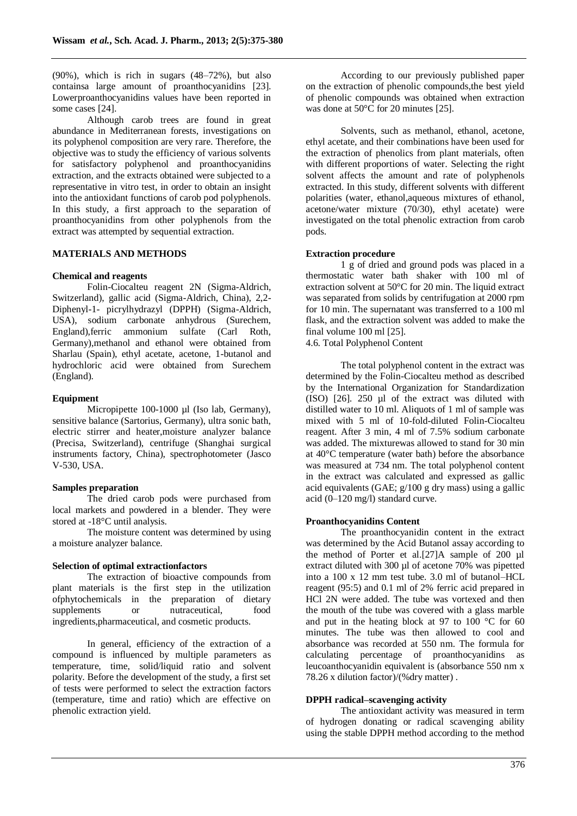(90%), which is rich in sugars (48–72%), but also containsa large amount of proanthocyanidins [23]. Lowerproanthocyanidins values have been reported in some cases [24].

Although carob trees are found in great abundance in Mediterranean forests, investigations on its polyphenol composition are very rare. Therefore, the objective was to study the efficiency of various solvents for satisfactory polyphenol and proanthocyanidins extraction, and the extracts obtained were subjected to a representative in vitro test, in order to obtain an insight into the antioxidant functions of carob pod polyphenols. In this study, a first approach to the separation of proanthocyanidins from other polyphenols from the extract was attempted by sequential extraction.

## **MATERIALS AND METHODS**

## **Chemical and reagents**

Folin-Ciocalteu reagent 2N (Sigma-Aldrich, Switzerland), gallic acid (Sigma-Aldrich, China), 2,2- Diphenyl-1- picrylhydrazyl (DPPH) (Sigma-Aldrich, USA), sodium carbonate anhydrous (Surechem, England),ferric ammonium sulfate (Carl Roth, Germany),methanol and ethanol were obtained from Sharlau (Spain), ethyl acetate, acetone, 1-butanol and hydrochloric acid were obtained from Surechem (England).

## **Equipment**

Micropipette 100-1000 µl (Iso lab, Germany), sensitive balance (Sartorius, Germany), ultra sonic bath, electric stirrer and heater,moisture analyzer balance (Precisa, Switzerland), centrifuge (Shanghai surgical instruments factory, China), spectrophotometer (Jasco V-530, USA.

## **Samples preparation**

The dried carob pods were purchased from local markets and powdered in a blender. They were stored at -18°C until analysis.

The moisture content was determined by using a moisture analyzer balance.

## **Selection of optimal extractionfactors**

The extraction of bioactive compounds from plant materials is the first step in the utilization ofphytochemicals in the preparation of dietary supplements or nutraceutical, food ingredients,pharmaceutical, and cosmetic products.

In general, efficiency of the extraction of a compound is influenced by multiple parameters as temperature, time, solid/liquid ratio and solvent polarity. Before the development of the study, a first set of tests were performed to select the extraction factors (temperature, time and ratio) which are effective on phenolic extraction yield.

According to our previously published paper on the extraction of phenolic compounds,the best yield of phenolic compounds was obtained when extraction was done at 50°C for 20 minutes [25].

Solvents, such as methanol, ethanol, acetone, ethyl acetate, and their combinations have been used for the extraction of phenolics from plant materials, often with different proportions of water. Selecting the right solvent affects the amount and rate of polyphenols extracted. In this study, different solvents with different polarities (water, ethanol,aqueous mixtures of ethanol, acetone/water mixture (70/30), ethyl acetate) were investigated on the total phenolic extraction from carob pods.

## **Extraction procedure**

1 g of dried and ground pods was placed in a thermostatic water bath shaker with 100 ml of extraction solvent at 50°C for 20 min. The liquid extract was separated from solids by centrifugation at 2000 rpm for 10 min. The supernatant was transferred to a 100 ml flask, and the extraction solvent was added to make the final volume 100 ml [25].

4.6. Total Polyphenol Content

The total polyphenol content in the extract was determined by the Folin-Ciocalteu method as described by the International Organization for Standardization (ISO) [26]. 250 µl of the extract was diluted with distilled water to 10 ml. Aliquots of 1 ml of sample was mixed with 5 ml of 10-fold-diluted Folin-Ciocalteu reagent. After 3 min, 4 ml of 7.5% sodium carbonate was added. The mixturewas allowed to stand for 30 min at 40°C temperature (water bath) before the absorbance was measured at 734 nm. The total polyphenol content in the extract was calculated and expressed as gallic acid equivalents (GAE; g/100 g dry mass) using a gallic acid (0–120 mg/l) standard curve.

#### **Proanthocyanidins Content**

The proanthocyanidin content in the extract was determined by the Acid Butanol assay according to the method of Porter et al.[27]A sample of 200 µl extract diluted with 300 µl of acetone 70% was pipetted into a 100 x 12 mm test tube. 3.0 ml of butanol–HCL reagent (95:5) and 0.1 ml of 2% ferric acid prepared in HCl 2N were added. The tube was vortexed and then the mouth of the tube was covered with a glass marble and put in the heating block at 97 to 100  $\degree$ C for 60 minutes. The tube was then allowed to cool and absorbance was recorded at 550 nm. The formula for calculating percentage of proanthocyanidins as leucoanthocyanidin equivalent is (absorbance 550 nm x 78.26 x dilution factor)/(%dry matter) .

#### **DPPH radical–scavenging activity**

The antioxidant activity was measured in term of hydrogen donating or radical scavenging ability using the stable DPPH method according to the method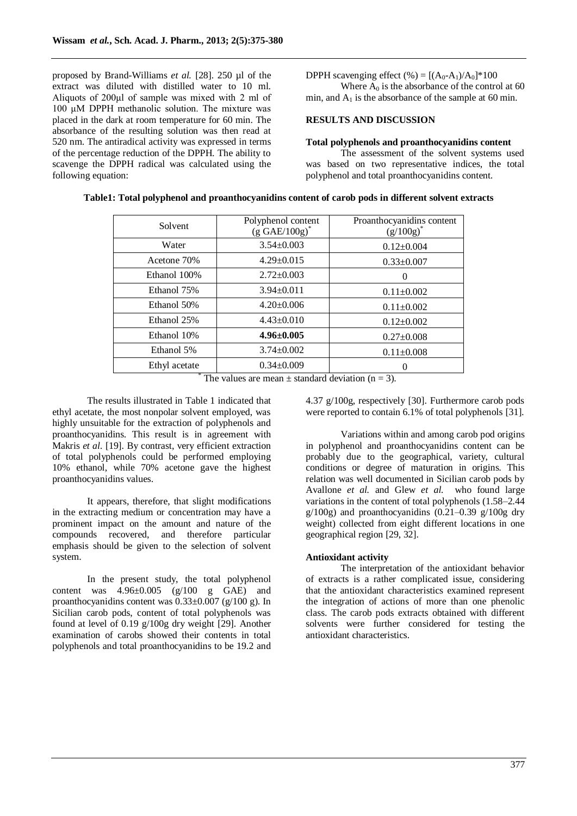proposed by Brand-Williams *et al.* [28]. 250 µl of the extract was diluted with distilled water to 10 ml. Aliquots of 200μl of sample was mixed with 2 ml of 100 μM DPPH methanolic solution. The mixture was placed in the dark at room temperature for 60 min. The absorbance of the resulting solution was then read at 520 nm. The antiradical activity was expressed in terms of the percentage reduction of the DPPH. The ability to scavenge the DPPH radical was calculated using the following equation:

DPPH scavenging effect (%) =  $[(A_0-A_1)/A_0]^*100$ 

Where  $A_0$  is the absorbance of the control at 60 min, and  $A_1$  is the absorbance of the sample at 60 min.

## **RESULTS AND DISCUSSION**

## **Total polyphenols and proanthocyanidins content**

The assessment of the solvent systems used was based on two representative indices, the total polyphenol and total proanthocyanidins content.

| Solvent       | Polyphenol content<br>$(g \text{ GAE}/100g)^*$ | Proanthocyanidins content<br>$(g/100g)^*$ |
|---------------|------------------------------------------------|-------------------------------------------|
| Water         | $3.54 \pm 0.003$                               | $0.12 \pm 0.004$                          |
| Acetone 70%   | $4.29 \pm 0.015$                               | $0.33 \pm 0.007$                          |
| Ethanol 100%  | $2.72 \pm 0.003$                               | $\Omega$                                  |
| Ethanol 75%   | $3.94 \pm 0.011$                               | $0.11 \pm 0.002$                          |
| Ethanol 50%   | $4.20 \pm 0.006$                               | $0.11 \pm 0.002$                          |
| Ethanol 25%   | $4.43 \pm 0.010$                               | $0.12 \pm 0.002$                          |
| Ethanol 10%   | $4.96 \pm 0.005$                               | $0.27 \pm 0.008$                          |
| Ethanol 5%    | $3.74 \pm 0.002$                               | $0.11 \pm 0.008$                          |
| Ethyl acetate | $0.34 \pm 0.009$                               | 0                                         |

#### **Table1: Total polyphenol and proanthocyanidins content of carob pods in different solvent extracts**

The values are mean  $\pm$  standard deviation (n = 3).

The results illustrated in Table 1 indicated that ethyl acetate, the most nonpolar solvent employed, was highly unsuitable for the extraction of polyphenols and proanthocyanidins. This result is in agreement with Makris *et al.* [19]. By contrast, very efficient extraction of total polyphenols could be performed employing 10% ethanol, while 70% acetone gave the highest proanthocyanidins values.

It appears, therefore, that slight modifications in the extracting medium or concentration may have a prominent impact on the amount and nature of the compounds recovered, and therefore particular emphasis should be given to the selection of solvent system.

In the present study, the total polyphenol content was  $4.96\pm0.005$  (g/100 g GAE) and proanthocyanidins content was  $0.33\pm0.007$  (g/100 g). In Sicilian carob pods, content of total polyphenols was found at level of 0.19 g/100g dry weight [29]. Another examination of carobs showed their contents in total polyphenols and total proanthocyanidins to be 19.2 and

4.37 g/100g, respectively [30]. Furthermore carob pods were reported to contain 6.1% of total polyphenols [31].

Variations within and among carob pod origins in polyphenol and proanthocyanidins content can be probably due to the geographical, variety, cultural conditions or degree of maturation in origins. This relation was well documented in Sicilian carob pods by Avallone *et al.* and Glew *et al.* who found large variations in the content of total polyphenols (1.58–2.44  $g/100g$ ) and proanthocyanidins (0.21-0.39  $g/100g$  dry weight) collected from eight different locations in one geographical region [29, 32].

#### **Antioxidant activity**

The interpretation of the antioxidant behavior of extracts is a rather complicated issue, considering that the antioxidant characteristics examined represent the integration of actions of more than one phenolic class. The carob pods extracts obtained with different solvents were further considered for testing the antioxidant characteristics.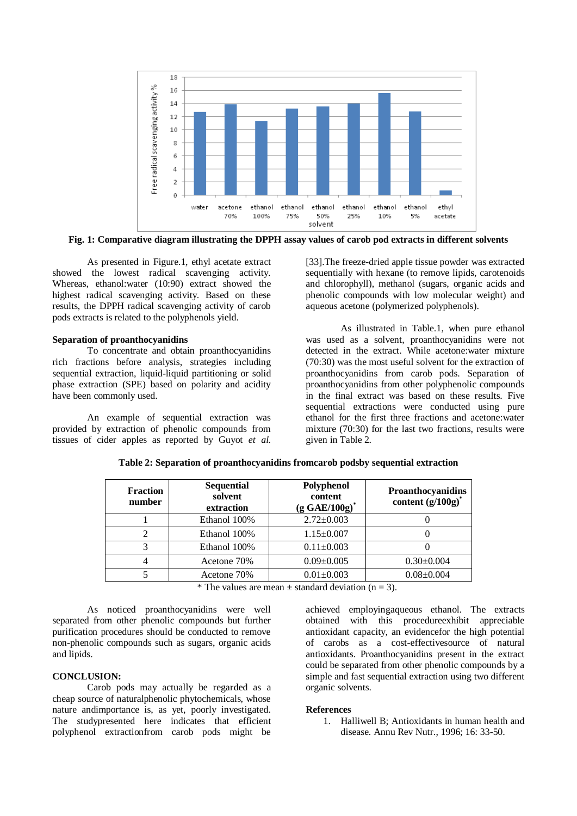

**Fig. 1: Comparative diagram illustrating the DPPH assay values of carob pod extracts in different solvents**

As presented in Figure.1, ethyl acetate extract showed the lowest radical scavenging activity. Whereas, ethanol:water (10:90) extract showed the highest radical scavenging activity. Based on these results, the DPPH radical scavenging activity of carob pods extracts is related to the polyphenols yield.

#### **Separation of proanthocyanidins**

To concentrate and obtain proanthocyanidins rich fractions before analysis, strategies including sequential extraction, liquid-liquid partitioning or solid phase extraction (SPE) based on polarity and acidity have been commonly used.

An example of sequential extraction was provided by extraction of phenolic compounds from tissues of cider apples as reported by Guyot *et al.*

[33].The freeze-dried apple tissue powder was extracted sequentially with hexane (to remove lipids, carotenoids and chlorophyll), methanol (sugars, organic acids and phenolic compounds with low molecular weight) and aqueous acetone (polymerized polyphenols).

As illustrated in Table.1, when pure ethanol was used as a solvent, proanthocyanidins were not detected in the extract. While acetone:water mixture (70:30) was the most useful solvent for the extraction of proanthocyanidins from carob pods. Separation of proanthocyanidins from other polyphenolic compounds in the final extract was based on these results. Five sequential extractions were conducted using pure ethanol for the first three fractions and acetone:water mixture (70:30) for the last two fractions, results were given in Table 2.

| <b>Fraction</b><br>number | <b>Sequential</b><br>solvent<br>extraction | Polyphenol<br>content<br>$(g GAE/100g)^*$ | Proanthocyanidins<br>content $(g/100g)^*$ |
|---------------------------|--------------------------------------------|-------------------------------------------|-------------------------------------------|
|                           | Ethanol 100%                               | $2.72 \pm 0.003$                          |                                           |
|                           | Ethanol 100%                               | $1.15 \pm 0.007$                          |                                           |
| 3                         | Ethanol 100%                               | $0.11 \pm 0.003$                          |                                           |
|                           | Acetone 70%                                | $0.09 \pm 0.005$                          | $0.30 \pm 0.004$                          |
|                           | Acetone 70%                                | $0.01 \pm 0.003$                          | $0.08 \pm 0.004$                          |

**Table 2: Separation of proanthocyanidins fromcarob podsby sequential extraction**

\* The values are mean  $\pm$  standard deviation (n = 3).

As noticed proanthocyanidins were well separated from other phenolic compounds but further purification procedures should be conducted to remove non-phenolic compounds such as sugars, organic acids and lipids.

## **CONCLUSION:**

Carob pods may actually be regarded as a cheap source of naturalphenolic phytochemicals, whose nature andimportance is, as yet, poorly investigated. The studypresented here indicates that efficient polyphenol extractionfrom carob pods might be

achieved employingaqueous ethanol. The extracts obtained with this procedureexhibit appreciable antioxidant capacity, an evidencefor the high potential of carobs as a cost-effectivesource of natural antioxidants. Proanthocyanidins present in the extract could be separated from other phenolic compounds by a simple and fast sequential extraction using two different organic solvents.

#### **References**

1. Halliwell B; Antioxidants in human health and disease. Annu Rev Nutr., 1996; 16: 33-50.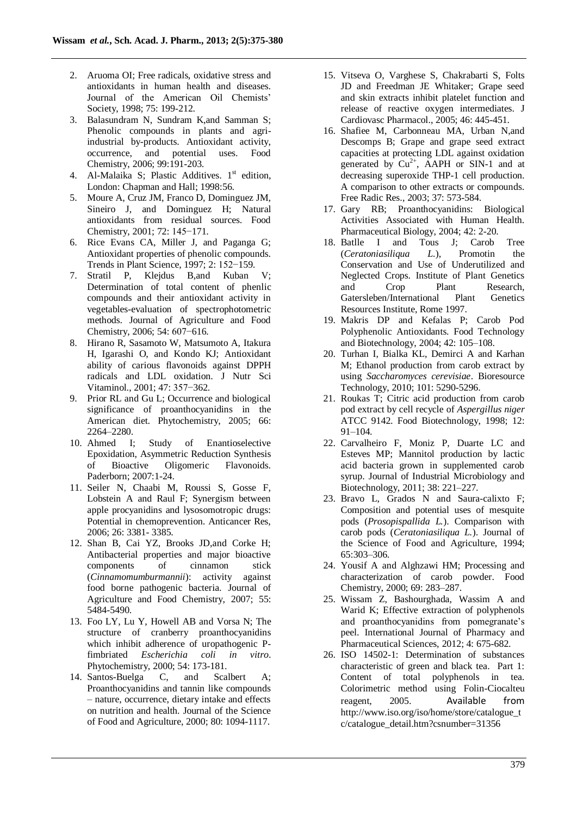- 2. Aruoma OI; Free radicals, oxidative stress and antioxidants in human health and diseases. Journal of the American Oil Chemists' Society, 1998; 75: 199-212.
- 3. Balasundram N, Sundram K,and Samman S; Phenolic compounds in plants and agriindustrial by-products. Antioxidant activity, occurrence, and potential uses. Food Chemistry, 2006; 99:191-203.
- 4. Al-Malaika S; Plastic Additives. 1<sup>st</sup> edition, London: Chapman and Hall; 1998:56.
- 5. Moure A, Cruz JM, Franco D, Dominguez JM, Sineiro J, and Dominguez H; Natural antioxidants from residual sources. Food Chemistry, 2001; 72: 145−171.
- 6. Rice Evans CA, Miller J, and Paganga G; Antioxidant properties of phenolic compounds. Trends in Plant Science, 1997; 2: 152−159.
- 7. Stratil P, Klejdus B,and Kuban V; Determination of total content of phenlic compounds and their antioxidant activity in vegetables-evaluation of spectrophotometric methods. Journal of Agriculture and Food Chemistry, 2006; 54: 607−616.
- 8. Hirano R, Sasamoto W, Matsumoto A, Itakura H, Igarashi O, and Kondo KJ; Antioxidant ability of carious flavonoids against DPPH radicals and LDL oxidation. J Nutr Sci Vitaminol., 2001; 47: 357−362.
- 9. Prior RL and Gu L; Occurrence and biological significance of proanthocyanidins in the American diet. Phytochemistry, 2005; 66: 2264–2280.
- 10. Ahmed I; Study of Enantioselective Epoxidation, Asymmetric Reduction Synthesis of Bioactive Oligomeric Flavonoids. Paderborn; 2007:1-24.
- 11. Seiler N, Chaabi M, Roussi S, Gosse F, Lobstein A and Raul F; Synergism between apple procyanidins and lysosomotropic drugs: Potential in chemoprevention. Anticancer Res, 2006; 26: 3381- 3385.
- 12. Shan B, Cai YZ, Brooks JD,and Corke H; Antibacterial properties and major bioactive components of cinnamon stick (*Cinnamomumburmannii*): activity against food borne pathogenic bacteria. Journal of Agriculture and Food Chemistry, 2007; 55: 5484-5490.
- 13. Foo LY, Lu Y, Howell AB and Vorsa N; The structure of cranberry proanthocyanidins which inhibit adherence of uropathogenic Pfimbriated *Escherichia coli in vitro*. Phytochemistry, 2000; 54: 173-181.
- 14. Santos-Buelga C, and Scalbert A; Proanthocyanidins and tannin like compounds – nature, occurrence, dietary intake and effects on nutrition and health. Journal of the Science of Food and Agriculture, 2000; 80: 1094-1117.
- 15. Vitseva O, Varghese S, Chakrabarti S, Folts JD and Freedman JE Whitaker; Grape seed and skin extracts inhibit platelet function and release of reactive oxygen intermediates. J Cardiovasc Pharmacol., 2005; 46: 445-451.
- 16. Shafiee M, Carbonneau MA, Urban N,and Descomps B; Grape and grape seed extract capacities at protecting LDL against oxidation generated by  $Cu^{2+}$ , AAPH or SIN-1 and at decreasing superoxide THP-1 cell production. A comparison to other extracts or compounds. Free Radic Res., 2003; 37: 573-584.
- 17. Gary RB; Proanthocyanidins: Biological Activities Associated with Human Health. Pharmaceutical Biology, 2004; 42: 2-20.
- 18. Batlle I and Tous J; Carob Tree (*Ceratoniasiliqua L.*), Promotin the Conservation and Use of Underutilized and Neglected Crops. Institute of Plant Genetics and Crop Plant Research, Gatersleben/International Plant Genetics Resources Institute, Rome 1997.
- 19. Makris DP and Kefalas P; Carob Pod Polyphenolic Antioxidants. Food Technology and Biotechnology, 2004; 42: 105–108.
- 20. Turhan I, Bialka KL, Demirci A and Karhan M; Ethanol production from carob extract by using *Saccharomyces cerevisiae*. Bioresource Technology, 2010; 101: 5290-5296.
- 21. Roukas T; Citric acid production from carob pod extract by cell recycle of *Aspergillus niger* ATCC 9142. Food Biotechnology, 1998; 12: 91–104.
- 22. Carvalheiro F, Moniz P, Duarte LC and Esteves MP; Mannitol production by lactic acid bacteria grown in supplemented carob syrup. Journal of Industrial Microbiology and Biotechnology, 2011; 38: 221–227.
- 23. Bravo L, Grados N and Saura-calixto F; Composition and potential uses of mesquite pods (*Prosopispallida L.*). Comparison with carob pods (*Ceratoniasiliqua L.*). Journal of the Science of Food and Agriculture, 1994; 65:303–306.
- 24. Yousif A and Alghzawi HM; Processing and characterization of carob powder. Food Chemistry, 2000; 69: 283–287.
- 25. Wissam Z, Bashourghada, Wassim A and Warid K; Effective extraction of polyphenols and proanthocyanidins from pomegranate's peel. International Journal of Pharmacy and Pharmaceutical Sciences, 2012; 4: 675-682.
- 26. ISO 14502-1: Determination of substances characteristic of green and black tea. Part 1: Content of total polyphenols in tea. Colorimetric method using Folin-Ciocalteu reagent, 2005. Available from http://www.iso.org/iso/home/store/catalogue\_t c/catalogue\_detail.htm?csnumber=31356